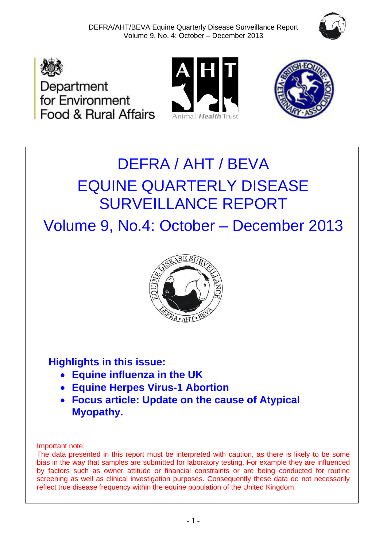







# DEFRA / AHT / BEVA EQUINE QUARTERLY DISEASE SURVEILLANCE REPORT

Volume 9, No.4: October – December 2013



# **Highlights in this issue:**

- **Equine influenza in the UK**
- **Equine Herpes Virus-1 Abortion**
- **Focus article: Update on the cause of Atypical Myopathy.**

Important note:

The data presented in this report must be interpreted with caution, as there is likely to be some bias in the way that samples are submitted for laboratory testing. For example they are influenced by factors such as owner attitude or financial constraints or are being conducted for routine screening as well as clinical investigation purposes. Consequently these data do not necessarily reflect true disease frequency within the equine population of the United Kingdom.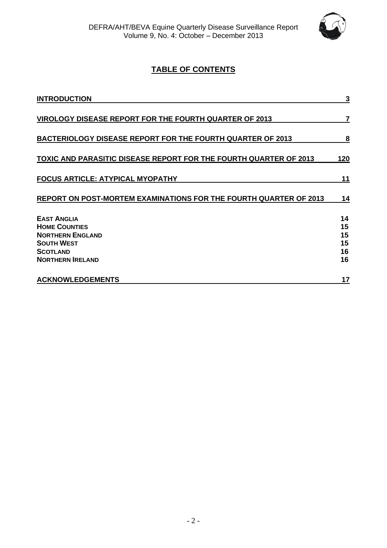

### **TABLE OF CONTENTS**

| <b>INTRODUCTION</b>                                                                                                                      | 3                                |
|------------------------------------------------------------------------------------------------------------------------------------------|----------------------------------|
| <b>VIROLOGY DISEASE REPORT FOR THE FOURTH QUARTER OF 2013</b>                                                                            | 7                                |
| <b>BACTERIOLOGY DISEASE REPORT FOR THE FOURTH QUARTER OF 2013</b>                                                                        | 8                                |
| TOXIC AND PARASITIC DISEASE REPORT FOR THE FOURTH QUARTER OF 2013                                                                        | <u>120</u>                       |
| <b>FOCUS ARTICLE: ATYPICAL MYOPATHY</b>                                                                                                  | 11                               |
| REPORT ON POST-MORTEM EXAMINATIONS FOR THE FOURTH QUARTER OF 2013                                                                        | 14                               |
| <b>EAST ANGLIA</b><br><b>HOME COUNTIES</b><br><b>NORTHERN ENGLAND</b><br><b>SOUTH WEST</b><br><b>SCOTLAND</b><br><b>NORTHERN IRELAND</b> | 14<br>15<br>15<br>15<br>16<br>16 |
| <b>ACKNOWLEDGEMENTS</b>                                                                                                                  | 17                               |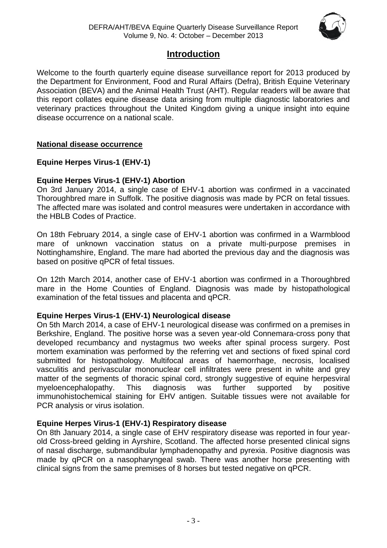

### **Introduction**

Welcome to the fourth quarterly equine disease surveillance report for 2013 produced by the Department for Environment, Food and Rural Affairs (Defra), British Equine Veterinary Association (BEVA) and the Animal Health Trust (AHT). Regular readers will be aware that this report collates equine disease data arising from multiple diagnostic laboratories and veterinary practices throughout the United Kingdom giving a unique insight into equine disease occurrence on a national scale.

### **National disease occurrence**

### **Equine Herpes Virus-1 (EHV-1)**

### **Equine Herpes Virus-1 (EHV-1) Abortion**

On 3rd January 2014, a single case of EHV-1 abortion was confirmed in a vaccinated Thoroughbred mare in Suffolk. The positive diagnosis was made by PCR on fetal tissues. The affected mare was isolated and control measures were undertaken in accordance with the HBLB Codes of Practice.

On 18th February 2014, a single case of EHV-1 abortion was confirmed in a Warmblood mare of unknown vaccination status on a private multi-purpose premises in Nottinghamshire, England. The mare had aborted the previous day and the diagnosis was based on positive qPCR of fetal tissues.

On 12th March 2014, another case of EHV-1 abortion was confirmed in a Thoroughbred mare in the Home Counties of England. Diagnosis was made by histopathological examination of the fetal tissues and placenta and qPCR.

### **Equine Herpes Virus-1 (EHV-1) Neurological disease**

On 5th March 2014, a case of EHV-1 neurological disease was confirmed on a premises in Berkshire, England. The positive horse was a seven year-old Connemara-cross pony that developed recumbancy and nystagmus two weeks after spinal process surgery. Post mortem examination was performed by the referring vet and sections of fixed spinal cord submitted for histopathology. Multifocal areas of haemorrhage, necrosis, localised vasculitis and perivascular mononuclear cell infiltrates were present in white and grey matter of the segments of thoracic spinal cord, strongly suggestive of equine herpesviral myeloencephalopathy. This diagnosis was further supported by positive immunohistochemical staining for EHV antigen. Suitable tissues were not available for PCR analysis or virus isolation.

### **Equine Herpes Virus-1 (EHV-1) Respiratory disease**

On 8th January 2014, a single case of EHV respiratory disease was reported in four yearold Cross-breed gelding in Ayrshire, Scotland. The affected horse presented clinical signs of nasal discharge, submandibular lymphadenopathy and pyrexia. Positive diagnosis was made by qPCR on a nasopharyngeal swab. There was another horse presenting with clinical signs from the same premises of 8 horses but tested negative on qPCR.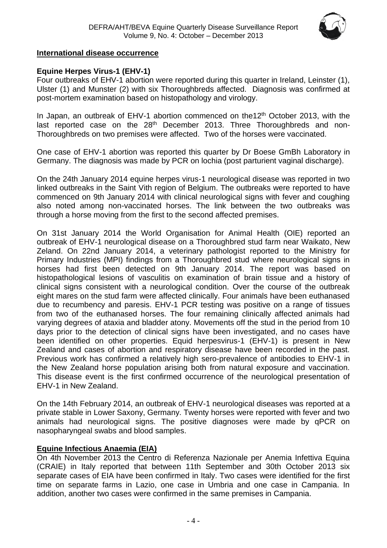

### **International disease occurrence**

### **Equine Herpes Virus-1 (EHV-1)**

Four outbreaks of EHV-1 abortion were reported during this quarter in Ireland, Leinster (1), Ulster (1) and Munster (2) with six Thoroughbreds affected. Diagnosis was confirmed at post-mortem examination based on histopathology and virology.

In Japan, an outbreak of EHV-1 abortion commenced on the12<sup>th</sup> October 2013, with the last reported case on the 28<sup>th</sup> December 2013. Three Thoroughbreds and non-Thoroughbreds on two premises were affected. Two of the horses were vaccinated.

One case of EHV-1 abortion was reported this quarter by Dr Boese GmBh Laboratory in Germany. The diagnosis was made by PCR on lochia (post parturient vaginal discharge).

On the 24th January 2014 equine herpes virus-1 neurological disease was reported in two linked outbreaks in the Saint Vith region of Belgium. The outbreaks were reported to have commenced on 9th January 2014 with clinical neurological signs with fever and coughing also noted among non-vaccinated horses. The link between the two outbreaks was through a horse moving from the first to the second affected premises.

On 31st January 2014 the World Organisation for Animal Health (OIE) reported an outbreak of EHV-1 neurological disease on a Thoroughbred stud farm near Waikato, New Zeland. On 22nd January 2014, a veterinary pathologist reported to the Ministry for Primary Industries (MPI) findings from a Thoroughbred stud where neurological signs in horses had first been detected on 9th January 2014. The report was based on histopathological lesions of vasculitis on examination of brain tissue and a history of clinical signs consistent with a neurological condition. Over the course of the outbreak eight mares on the stud farm were affected clinically. Four animals have been euthanased due to recumbency and paresis. EHV-1 PCR testing was positive on a range of tissues from two of the euthanased horses. The four remaining clinically affected animals had varying degrees of ataxia and bladder atony. Movements off the stud in the period from 10 days prior to the detection of clinical signs have been investigated, and no cases have been identified on other properties. Equid herpesvirus-1 (EHV-1) is present in New Zealand and cases of abortion and respiratory disease have been recorded in the past. Previous work has confirmed a relatively high sero-prevalence of antibodies to EHV-1 in the New Zealand horse population arising both from natural exposure and vaccination. This disease event is the first confirmed occurrence of the neurological presentation of EHV-1 in New Zealand.

On the 14th February 2014, an outbreak of EHV-1 neurological diseases was reported at a private stable in Lower Saxony, Germany. Twenty horses were reported with fever and two animals had neurological signs. The positive diagnoses were made by qPCR on nasopharyngeal swabs and blood samples.

### **Equine Infectious Anaemia (EIA)**

On 4th November 2013 the Centro di Referenza Nazionale per Anemia Infettiva Equina (CRAIE) in Italy reported that between 11th September and 30th October 2013 six separate cases of EIA have been confirmed in Italy. Two cases were identified for the first time on separate farms in Lazio, one case in Umbria and one case in Campania. In addition, another two cases were confirmed in the same premises in Campania.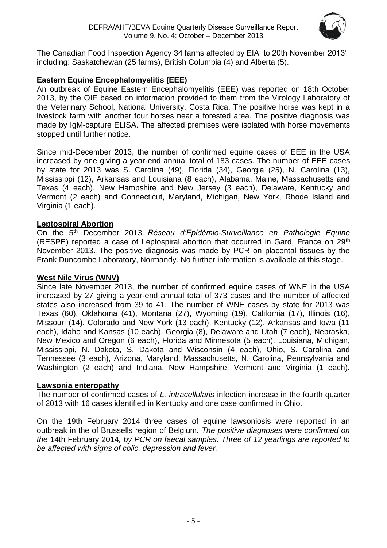

The Canadian Food Inspection Agency 34 farms affected by EIA to 20th November 2013' including: Saskatchewan (25 farms), British Columbia (4) and Alberta (5).

### **Eastern Equine Encephalomyelitis (EEE)**

An outbreak of Equine Eastern Encephalomyelitis (EEE) was reported on 18th October 2013, by the OIE based on information provided to them from the Virology Laboratory of the Veterinary School, National University, Costa Rica. The positive horse was kept in a livestock farm with another four horses near a forested area. The positive diagnosis was made by IgM-capture ELISA. The affected premises were isolated with horse movements stopped until further notice.

Since mid-December 2013, the number of confirmed equine cases of EEE in the USA increased by one giving a year-end annual total of 183 cases. The number of EEE cases by state for 2013 was S. Carolina (49), Florida (34), Georgia (25), N. Carolina (13), Mississippi (12), Arkansas and Louisiana (8 each), Alabama, Maine, Massachusetts and Texas (4 each), New Hampshire and New Jersey (3 each), Delaware, Kentucky and Vermont (2 each) and Connecticut, Maryland, Michigan, New York, Rhode Island and Virginia (1 each).

### **Leptospiral Abortion**

On the 5th December 2013 *Réseau d'Epidémio-Surveillance en Pathologie Equine*  (RESPE) reported a case of Leptospiral abortion that occurred in Gard, France on 29th November 2013. The positive diagnosis was made by PCR on placental tissues by the Frank Duncombe Laboratory, Normandy. No further information is available at this stage.

### **West Nile Virus (WNV)**

Since late November 2013, the number of confirmed equine cases of WNE in the USA increased by 27 giving a year-end annual total of 373 cases and the number of affected states also increased from 39 to 41. The number of WNE cases by state for 2013 was Texas (60), Oklahoma (41), Montana (27), Wyoming (19), California (17), Illinois (16), Missouri (14), Colorado and New York (13 each), Kentucky (12), Arkansas and Iowa (11 each), Idaho and Kansas (10 each), Georgia (8), Delaware and Utah (7 each), Nebraska, New Mexico and Oregon (6 each), Florida and Minnesota (5 each), Louisiana, Michigan, Mississippi, N. Dakota, S. Dakota and Wisconsin (4 each), Ohio, S. Carolina and Tennessee (3 each), Arizona, Maryland, Massachusetts, N. Carolina, Pennsylvania and Washington (2 each) and Indiana, New Hampshire, Vermont and Virginia (1 each).

### **Lawsonia enteropathy**

The number of confirmed cases of *L. intracellularis* infection increase in the fourth quarter of 2013 with 16 cases identified in Kentucky and one case confirmed in Ohio.

On the 19th February 2014 three cases of equine lawsoniosis were reported in an outbreak in the of Brussells region of Belgium*. The positive diagnoses were confirmed on the* 14th February 2014*, by PCR on faecal samples. Three of 12 yearlings are reported to be affected with signs of colic, depression and fever.*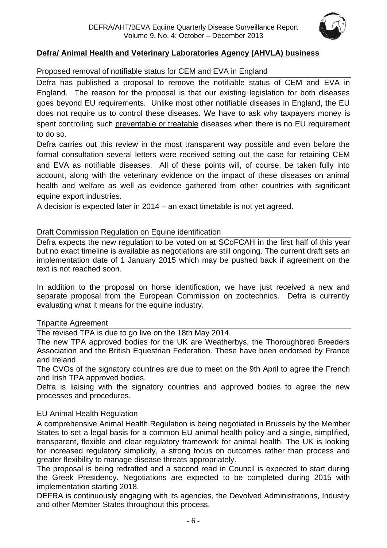

### **Defra/ Animal Health and Veterinary Laboratories Agency (AHVLA) business**

### Proposed removal of notifiable status for CEM and EVA in England

Defra has published a proposal to remove the notifiable status of CEM and EVA in England. The reason for the proposal is that our existing legislation for both diseases goes beyond EU requirements. Unlike most other notifiable diseases in England, the EU does not require us to control these diseases. We have to ask why taxpayers money is spent controlling such preventable or treatable diseases when there is no EU requirement to do so.

Defra carries out this review in the most transparent way possible and even before the formal consultation several letters were received setting out the case for retaining CEM and EVA as notifiable diseases. All of these points will, of course, be taken fully into account, along with the veterinary evidence on the impact of these diseases on animal health and welfare as well as evidence gathered from other countries with significant equine export industries.

A decision is expected later in 2014 – an exact timetable is not yet agreed.

### Draft Commission Regulation on Equine identification

Defra expects the new regulation to be voted on at SCoFCAH in the first half of this year but no exact timeline is available as negotiations are still ongoing. The current draft sets an implementation date of 1 January 2015 which may be pushed back if agreement on the text is not reached soon.

In addition to the proposal on horse identification, we have just received a new and separate proposal from the European Commission on zootechnics. Defra is currently evaluating what it means for the equine industry.

#### Tripartite Agreement

The revised TPA is due to go live on the 18th May 2014.

The new TPA approved bodies for the UK are Weatherbys, the Thoroughbred Breeders Association and the British Equestrian Federation. These have been endorsed by France and Ireland.

The CVOs of the signatory countries are due to meet on the 9th April to agree the French and Irish TPA approved bodies.

Defra is liaising with the signatory countries and approved bodies to agree the new processes and procedures.

### EU Animal Health Regulation

A comprehensive Animal Health Regulation is being negotiated in Brussels by the Member States to set a legal basis for a common EU animal health policy and a single, simplified, transparent, flexible and clear regulatory framework for animal health. The UK is looking for increased regulatory simplicity, a strong focus on outcomes rather than process and greater flexibility to manage disease threats appropriately.

The proposal is being redrafted and a second read in Council is expected to start during the Greek Presidency. Negotiations are expected to be completed during 2015 with implementation starting 2018.

DEFRA is continuously engaging with its agencies, the Devolved Administrations, Industry and other Member States throughout this process.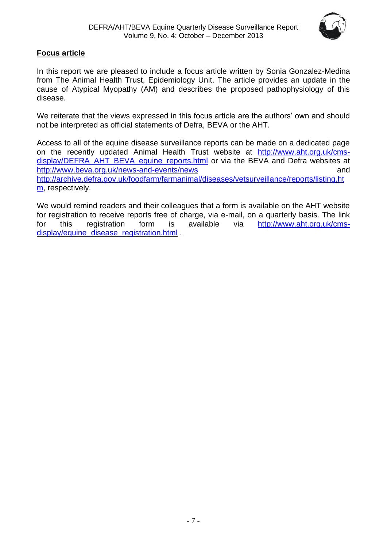

### **Focus article**

In this report we are pleased to include a focus article written by Sonia Gonzalez-Medina from The Animal Health Trust, Epidemiology Unit. The article provides an update in the cause of Atypical Myopathy (AM) and describes the proposed pathophysiology of this disease.

We reiterate that the views expressed in this focus article are the authors' own and should not be interpreted as official statements of Defra, BEVA or the AHT.

Access to all of the equine disease surveillance reports can be made on a dedicated page on the recently updated Animal Health Trust website at [http://www.aht.org.uk/cms](http://www.aht.org.uk/cms-display/DEFRA_AHT_BEVA_equine_reports.html)[display/DEFRA\\_AHT\\_BEVA\\_equine\\_reports.html](http://www.aht.org.uk/cms-display/DEFRA_AHT_BEVA_equine_reports.html) or via the BEVA and Defra websites at <http://www.beva.org.uk/news-and-events/news> and [http://archive.defra.gov.uk/foodfarm/farmanimal/diseases/vetsurveillance/reports/listing.ht](http://archive.defra.gov.uk/foodfarm/farmanimal/diseases/vetsurveillance/reports/listing.htm) [m,](http://archive.defra.gov.uk/foodfarm/farmanimal/diseases/vetsurveillance/reports/listing.htm) respectively.

We would remind readers and their colleagues that a form is available on the AHT website for registration to receive reports free of charge, via e-mail, on a quarterly basis. The link for this registration form is available via [http://www.aht.org.uk/cms](http://www.aht.org.uk/cms-display/equine_disease_registration.html)[display/equine\\_disease\\_registration.html](http://www.aht.org.uk/cms-display/equine_disease_registration.html) .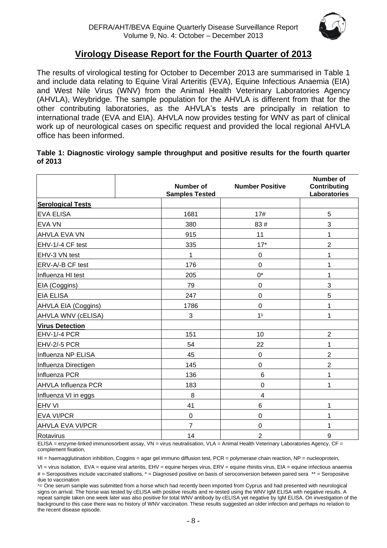

### **Virology Disease Report for the Fourth Quarter of 2013**

The results of virological testing for October to December 2013 are summarised in Table 1 and include data relating to Equine Viral Arteritis (EVA), Equine Infectious Anaemia (EIA) and West Nile Virus (WNV) from the Animal Health Veterinary Laboratories Agency (AHVLA), Weybridge. The sample population for the AHVLA is different from that for the other contributing laboratories, as the AHVLA's tests are principally in relation to international trade (EVA and EIA). AHVLA now provides testing for WNV as part of clinical work up of neurological cases on specific request and provided the local regional AHVLA office has been informed.

### **Table 1: Diagnostic virology sample throughput and positive results for the fourth quarter of 2013**

|                            | Number of<br><b>Samples Tested</b> | <b>Number Positive</b> | <b>Number of</b><br>Contributing<br>Laboratories |
|----------------------------|------------------------------------|------------------------|--------------------------------------------------|
| <b>Serological Tests</b>   |                                    |                        |                                                  |
| <b>EVA ELISA</b>           | 1681                               | 17#                    | 5                                                |
| <b>EVA VN</b>              | 380                                | 83#                    | 3                                                |
| <b>AHVLA EVA VN</b>        | 915                                | 11                     | 1                                                |
| EHV-1/-4 CF test           | 335                                | $17*$                  | $\overline{2}$                                   |
| EHV-3 VN test              | 1                                  | 0                      | 1                                                |
| ERV-A/-B CF test           | 176                                | 0                      | 1                                                |
| Influenza HI test          | 205                                | $0^*$                  | 1                                                |
| EIA (Coggins)              | 79                                 | 0                      | 3                                                |
| <b>EIA ELISA</b>           | 247                                | $\mathbf 0$            | 5                                                |
| AHVLA EIA (Coggins)        | 1786                               | 0                      | 1                                                |
| AHVLA WNV (cELISA)         | 3                                  | 1 <sup>1</sup>         | 1                                                |
| <b>Virus Detection</b>     |                                    |                        |                                                  |
| EHV-1/-4 PCR               | 151                                | 10                     | $\overline{2}$                                   |
| EHV-2/-5 PCR               | 54                                 | 22                     | 1                                                |
| Influenza NP ELISA         | 45                                 | 0                      | $\overline{2}$                                   |
| Influenza Directigen       | 145                                | 0                      | $\overline{2}$                                   |
| Influenza PCR              | 136                                | $6\phantom{1}6$        | 1                                                |
| <b>AHVLA Influenza PCR</b> | 183                                | $\mathbf 0$            | 1                                                |
| Influenza VI in eggs       | 8                                  | $\overline{4}$         |                                                  |
| <b>EHV VI</b>              | 41                                 | 6                      | 1                                                |
| <b>EVA VI/PCR</b>          | $\boldsymbol{0}$                   | 0                      | 1                                                |
| <b>AHVLA EVA VI/PCR</b>    | $\overline{7}$                     | 0                      | 1                                                |
| Rotavirus                  | 14                                 | $\overline{2}$         | 9                                                |

ELISA = enzyme-linked immunosorbent assay, VN = virus neutralisation, VLA = Animal Health Veterinary Laboratories Agency, CF = complement fixation,

HI = haemagglutination inhibition, Coggins = agar gel immuno diffusion test, PCR = polymerase chain reaction, NP = nucleoprotein,

VI = virus isolation, EVA = equine viral arteritis, EHV = equine herpes virus, ERV = equine rhinitis virus, EIA = equine infectious anaemia # = Seropositives include vaccinated stallions, \* = Diagnosed positive on basis of seroconversion between paired sera \*\* = Seropositve due to vaccination

<sup>1</sup> = One serum sample was submitted from a horse which had recently been imported from Cyprus and had presented with neurological signs on arrival. The horse was tested by cELISA with positive results and re-tested using the WNV IgM ELISA with negative results. A repeat sample taken one week later was also positive for total WNV antibody by cELISA yet negative by IgM ELISA. On investigation of the background to this case there was no history of WNV vaccination. These results suggested an older infection and perhaps no relation to the recent disease episode.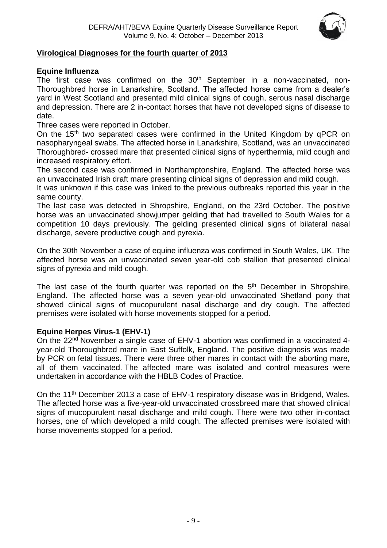

### **Virological Diagnoses for the fourth quarter of 2013**

### **Equine Influenza**

The first case was confirmed on the 30<sup>th</sup> September in a non-vaccinated, non-Thoroughbred horse in Lanarkshire, Scotland. The affected horse came from a dealer's yard in West Scotland and presented mild clinical signs of cough, serous nasal discharge and depression. There are 2 in-contact horses that have not developed signs of disease to date.

Three cases were reported in October.

On the 15<sup>th</sup> two separated cases were confirmed in the United Kingdom by qPCR on nasopharyngeal swabs. The affected horse in Lanarkshire, Scotland, was an unvaccinated Thoroughbred- crossed mare that presented clinical signs of hyperthermia, mild cough and increased respiratory effort.

The second case was confirmed in Northamptonshire, England. The affected horse was an unvaccinated Irish draft mare presenting clinical signs of depression and mild cough.

It was unknown if this case was linked to the previous outbreaks reported this year in the same county.

The last case was detected in Shropshire, England, on the 23rd October. The positive horse was an unvaccinated showjumper gelding that had travelled to South Wales for a competition 10 days previously. The gelding presented clinical signs of bilateral nasal discharge, severe productive cough and pyrexia.

On the 30th November a case of equine influenza was confirmed in South Wales, UK. The affected horse was an unvaccinated seven year-old cob stallion that presented clinical signs of pyrexia and mild cough.

The last case of the fourth quarter was reported on the  $5<sup>th</sup>$  December in Shropshire, England. The affected horse was a seven year-old unvaccinated Shetland pony that showed clinical signs of mucopurulent nasal discharge and dry cough. The affected premises were isolated with horse movements stopped for a period.

#### **Equine Herpes Virus-1 (EHV-1)**

On the 22nd November a single case of EHV-1 abortion was confirmed in a vaccinated 4 year-old Thoroughbred mare in East Suffolk, England. The positive diagnosis was made by PCR on fetal tissues. There were three other mares in contact with the aborting mare, all of them vaccinated. The affected mare was isolated and control measures were undertaken in accordance with the HBLB Codes of Practice.

On the 11<sup>th</sup> December 2013 a case of EHV-1 respiratory disease was in Bridgend, Wales. The affected horse was a five-year-old unvaccinated crossbreed mare that showed clinical signs of mucopurulent nasal discharge and mild cough. There were two other in-contact horses, one of which developed a mild cough. The affected premises were isolated with horse movements stopped for a period.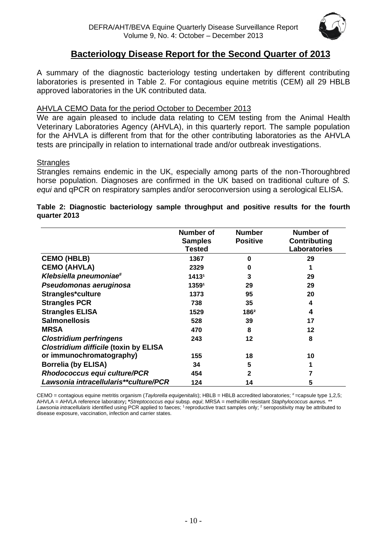

### **Bacteriology Disease Report for the Second Quarter of 2013**

A summary of the diagnostic bacteriology testing undertaken by different contributing laboratories is presented in Table 2. For contagious equine metritis (CEM) all 29 HBLB approved laboratories in the UK contributed data.

### AHVLA CEMO Data for the period October to December 2013

We are again pleased to include data relating to CEM testing from the Animal Health Veterinary Laboratories Agency (AHVLA), in this quarterly report. The sample population for the AHVLA is different from that for the other contributing laboratories as the AHVLA tests are principally in relation to international trade and/or outbreak investigations.

### **Strangles**

Strangles remains endemic in the UK, especially among parts of the non-Thoroughbred horse population. Diagnoses are confirmed in the UK based on traditional culture of *S. equi* and qPCR on respiratory samples and/or seroconversion using a serological ELISA.

### **Table 2: Diagnostic bacteriology sample throughput and positive results for the fourth quarter 2013**

|                                              | <b>Number of</b><br><b>Samples</b><br><b>Tested</b> | <b>Number</b><br><b>Positive</b> | Number of<br>Contributing<br>Laboratories |
|----------------------------------------------|-----------------------------------------------------|----------------------------------|-------------------------------------------|
| <b>CEMO (HBLB)</b>                           | 1367                                                | n                                | 29                                        |
| <b>CEMO (AHVLA)</b>                          | 2329                                                | 0                                |                                           |
| Klebsiella pneumoniae#                       | 14131                                               | 3                                | 29                                        |
| Pseudomonas aeruginosa                       | 13591                                               | 29                               | 29                                        |
| Strangles*culture                            | 1373                                                | 95                               | 20                                        |
| <b>Strangles PCR</b>                         | 738                                                 | 35                               | 4                                         |
| <b>Strangles ELISA</b>                       | 1529                                                | 1862                             | 4                                         |
| <b>Salmonellosis</b>                         | 528                                                 | 39                               | 17                                        |
| <b>MRSA</b>                                  | 470                                                 | 8                                | 12                                        |
| <b>Clostridium perfringens</b>               | 243                                                 | 12                               | 8                                         |
| <b>Clostridium difficile (toxin by ELISA</b> |                                                     |                                  |                                           |
| or immunochromatography)                     | 155                                                 | 18                               | 10                                        |
| <b>Borrelia (by ELISA)</b>                   | 34                                                  | 5                                |                                           |
| Rhodococcus equi culture/PCR                 | 454                                                 | 2                                |                                           |
| Lawsonia intracellularis**culture/PCR        | 124                                                 | 14                               | 5                                         |

CEMO = contagious equine metritis organism (Taylorella equigenitalis); HBLB = HBLB accredited laboratories; #=capsule type 1,2,5; AHVLA = AHVLA reference laboratory**; \****Streptococcus equi* subsp*. equi*; MRSA = methicillin resistant *Staphylococcus aureus.* \*\* Lawsonia intracellularis identified using PCR applied to faeces; <sup>1</sup> reproductive tract samples only; <sup>2</sup> seropositivity may be attributed to disease exposure, vaccination, infection and carrier states.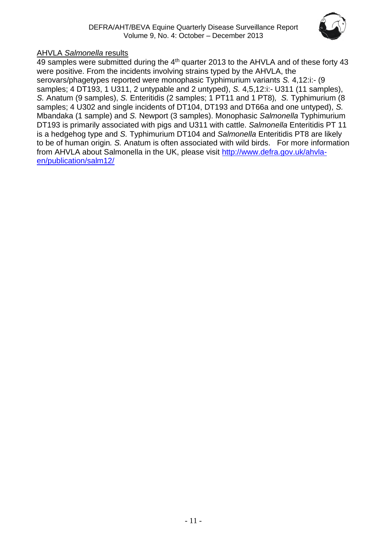

### AHVLA *Salmonella* results

49 samples were submitted during the 4<sup>th</sup> quarter 2013 to the AHVLA and of these forty 43 were positive. From the incidents involving strains typed by the AHVLA, the serovars/phagetypes reported were monophasic Typhimurium variants *S.* 4,12:i:- (9 samples; 4 DT193, 1 U311, 2 untypable and 2 untyped), *S.* 4,5,12:i:- U311 (11 samples), *S.* Anatum (9 samples), *S.* Enteritidis (2 samples; 1 PT11 and 1 PT8)*, S.* Typhimurium (8 samples; 4 U302 and single incidents of DT104, DT193 and DT66a and one untyped), *S.*  Mbandaka (1 sample) and *S.* Newport (3 samples). Monophasic *Salmonella* Typhimurium DT193 is primarily associated with pigs and U311 with cattle. *Salmonella* Enteritidis PT 11 is a hedgehog type and *S.* Typhimurium DT104 and *Salmonella* Enteritidis PT8 are likely to be of human origin*. S.* Anatum is often associated with wild birds. For more information from AHVLA about Salmonella in the UK, please visit [http://www.defra.gov.uk/ahvla](http://www.defra.gov.uk/ahvla-en/publication/salm12/)[en/publication/salm12/](http://www.defra.gov.uk/ahvla-en/publication/salm12/)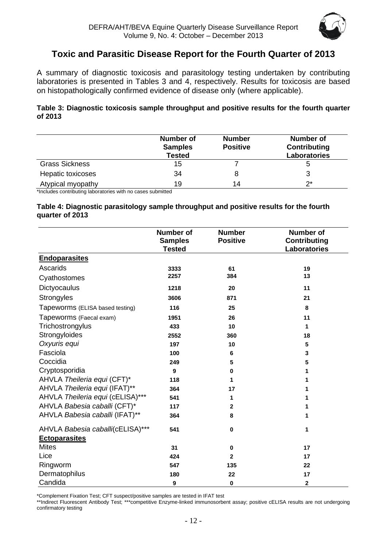

### **Toxic and Parasitic Disease Report for the Fourth Quarter of 2013**

A summary of diagnostic toxicosis and parasitology testing undertaken by contributing laboratories is presented in Tables 3 and 4, respectively. Results for toxicosis are based on histopathologically confirmed evidence of disease only (where applicable).

### **Table 3: Diagnostic toxicosis sample throughput and positive results for the fourth quarter of 2013**

|                       | <b>Number of</b><br><b>Samples</b><br><b>Tested</b> | <b>Number</b><br><b>Positive</b> | <b>Number of</b><br><b>Contributing</b><br><b>Laboratories</b> |
|-----------------------|-----------------------------------------------------|----------------------------------|----------------------------------------------------------------|
| <b>Grass Sickness</b> | 15                                                  |                                  |                                                                |
| Hepatic toxicoses     | 34                                                  |                                  |                                                                |
| Atypical myopathy     | 19                                                  | 14                               | ク*                                                             |

\*Includes contributing laboratories with no cases submitted

#### **Table 4: Diagnostic parasitology sample throughput and positive results for the fourth quarter of 2013**

|                                  | <b>Number of</b><br><b>Samples</b><br><b>Tested</b> | <b>Number</b><br><b>Positive</b> | <b>Number of</b><br><b>Contributing</b><br><b>Laboratories</b> |
|----------------------------------|-----------------------------------------------------|----------------------------------|----------------------------------------------------------------|
| <b>Endoparasites</b>             |                                                     |                                  |                                                                |
| Ascarids                         | 3333                                                | 61                               | 19                                                             |
| Cyathostomes                     | 2257                                                | 384                              | 13                                                             |
| Dictyocaulus                     | 1218                                                | 20                               | 11                                                             |
| Strongyles                       | 3606                                                | 871                              | 21                                                             |
| Tapeworms (ELISA based testing)  | 116                                                 | 25                               | 8                                                              |
| Tapeworms (Faecal exam)          | 1951                                                | 26                               | 11                                                             |
| Trichostrongylus                 | 433                                                 | 10                               | 1                                                              |
| Strongyloides                    | 2552                                                | 360                              | 18                                                             |
| Oxyuris equi                     | 197                                                 | 10                               | $5\phantom{.0}$                                                |
| Fasciola                         | 100                                                 | 6                                | 3                                                              |
| Coccidia                         | 249                                                 | 5                                | 5                                                              |
| Cryptosporidia                   | 9                                                   | $\bf{0}$                         | 1                                                              |
| AHVLA Theileria equi (CFT)*      | 118                                                 | 1                                | 1                                                              |
| AHVLA Theileria equi (IFAT)**    | 364                                                 | 17                               | 1                                                              |
| AHVLA Theileria equi (cELISA)*** | 541                                                 | 1                                | 1                                                              |
| AHVLA Babesia caballi (CFT)*     | 117                                                 | 2                                | 1                                                              |
| AHVLA Babesia caballi (IFAT)**   | 364                                                 | 8                                | 1                                                              |
| AHVLA Babesia caballi(cELISA)*** | 541                                                 | $\mathbf 0$                      | 1                                                              |
| <b>Ectoparasites</b>             |                                                     |                                  |                                                                |
| <b>Mites</b>                     | 31                                                  | 0                                | 17                                                             |
| Lice                             | 424                                                 | $\mathbf 2$                      | 17                                                             |
| Ringworm                         | 547                                                 | 135                              | 22                                                             |
| Dermatophilus                    | 180                                                 | 22                               | 17                                                             |
| Candida                          | 9                                                   | $\bf{0}$                         | $\boldsymbol{2}$                                               |

\*Complement Fixation Test; CFT suspect/positive samples are tested in IFAT test

\*\*Indirect Fluorescent Antibody Test; \*\*\*competitive Enzyme-linked immunosorbent assay; positive cELISA results are not undergoing confirmatory testing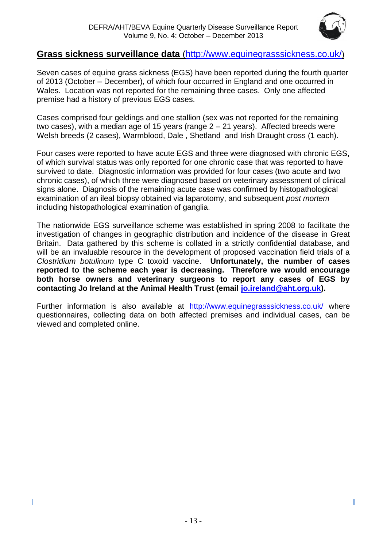

I

### **Grass sickness surveillance data** [\(http://www.equinegrasssickness.co.uk/](http://www.equinegrasssickness.co.uk/))

Seven cases of equine grass sickness (EGS) have been reported during the fourth quarter of 2013 (October – December), of which four occurred in England and one occurred in Wales. Location was not reported for the remaining three cases. Only one affected premise had a history of previous EGS cases.

Cases comprised four geldings and one stallion (sex was not reported for the remaining two cases), with a median age of 15 years (range 2 – 21 years). Affected breeds were Welsh breeds (2 cases), Warmblood, Dale , Shetland and Irish Draught cross (1 each).

Four cases were reported to have acute EGS and three were diagnosed with chronic EGS, of which survival status was only reported for one chronic case that was reported to have survived to date. Diagnostic information was provided for four cases (two acute and two chronic cases), of which three were diagnosed based on veterinary assessment of clinical signs alone. Diagnosis of the remaining acute case was confirmed by histopathological examination of an ileal biopsy obtained via laparotomy, and subsequent *post mortem*  including histopathological examination of ganglia.

The nationwide EGS surveillance scheme was established in spring 2008 to facilitate the investigation of changes in geographic distribution and incidence of the disease in Great Britain. Data gathered by this scheme is collated in a strictly confidential database, and will be an invaluable resource in the development of proposed vaccination field trials of a *Clostridium botulinum* type C toxoid vaccine. **Unfortunately, the number of cases reported to the scheme each year is decreasing. Therefore we would encourage both horse owners and veterinary surgeons to report any cases of EGS by contacting Jo Ireland at the Animal Health Trust (email [jo.ireland@aht.org.uk\)](mailto:jo.ireland@aht.org.uk).**

Further information is also available at <http://www.equinegrasssickness.co.uk/> where questionnaires, collecting data on both affected premises and individual cases, can be viewed and completed online.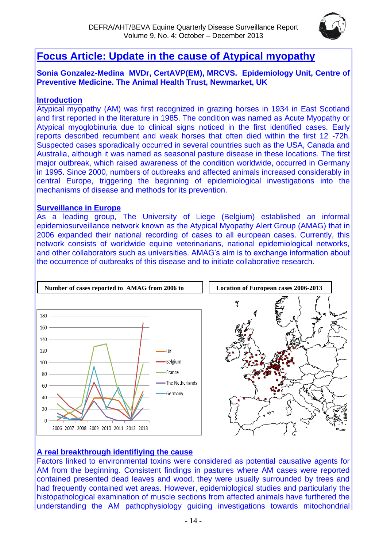

## **Focus Article: Update in the cause of Atypical myopathy**

### **Sonia Gonzalez-Medina MVDr, CertAVP(EM), MRCVS. Epidemiology Unit, Centre of Preventive Medicine. The Animal Health Trust, Newmarket, UK**

### **Introduction**

Atypical myopathy (AM) was first recognized in grazing horses in 1934 in East Scotland and first reported in the literature in 1985. The condition was named as Acute Myopathy or Atypical myoglobinuria due to clinical signs noticed in the first identified cases. Early reports described recumbent and weak horses that often died within the first 12 -72h. Suspected cases sporadically occurred in several countries such as the USA, Canada and Australia, although it was named as seasonal pasture disease in these locations. The first major outbreak, which raised awareness of the condition worldwide, occurred in Germany in 1995. Since 2000, numbers of outbreaks and affected animals increased considerably in central Europe, triggering the beginning of epidemiological investigations into the mechanisms of disease and methods for its prevention.

### **Surveillance in Europe**

As a leading group, The University of Liege (Belgium) established an informal epidemiosurveillance network known as the Atypical Myopathy Alert Group (AMAG) that in 2006 expanded their national recording of cases to all european cases. Currently, this network consists of worldwide equine veterinarians, national epidemiological networks, and other collaborators such as universities. AMAG's aim is to exchange information about the occurrence of outbreaks of this disease and to initiate collaborative research.



### **A real breakthrough identifiying the cause**

Factors linked to environmental toxins were considered as potential causative agents for AM from the beginning. Consistent findings in pastures where AM cases were reported contained presented dead leaves and wood, they were usually surrounded by trees and had frequently contained wet areas. However, epidemiological studies and particularly the histopathological examination of muscle sections from affected animals have furthered the understanding the AM pathophysiology guiding investigations towards mitochondrial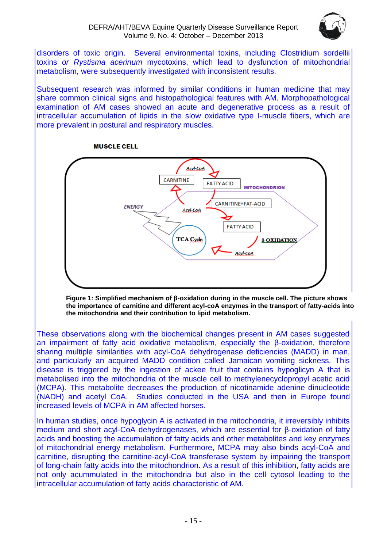### DEFRA/AHT/BEVA Equine Quarterly Disease Surveillance Report Volume 9, No. 4: October – December 2013



disorders of toxic origin. Several environmental toxins, including Clostridium sordellii toxins *or Rystisma acerinum* mycotoxins, which lead to dysfunction of mitochondrial metabolism, were subsequently investigated with inconsistent results.

Subsequent research was informed by similar conditions in human medicine that may share common clinical signs and histopathological features with AM. Morphopathological examination of AM cases showed an acute and degenerative process as a result of intracellular accumulation of lipids in the slow oxidative type I-muscle fibers, which are more prevalent in postural and respiratory muscles.

**MUSCLE CELL** 



**Figure 1: Simplified mechanism of β-oxidation during in the muscle cell. The picture shows the importance of carnitine and different acyl-coA enzymes in the transport of fatty-acids into the mitochondria and their contribution to lipid metabolism.**

These observations along with the biochemical changes present in AM cases suggested an impairment of fatty acid oxidative metabolism, especially the β-oxidation, therefore sharing multiple similarities with acyl-CoA dehydrogenase deficiencies (MADD) in man, and particularly an acquired MADD condition called Jamaican vomiting sickness. This disease is triggered by the ingestion of ackee fruit that contains hypoglicyn A that is metabolised into the mitochondria of the muscle cell to methylenecyclopropyl acetic acid (MCPA). This metabolite decreases the production of nicotinamide adenine dinucleotide (NADH) and acetyl CoA. Studies conducted in the USA and then in Europe found increased levels of MCPA in AM affected horses.

In human studies, once hypoglycin A is activated in the mitochondria, it irreversibly inhibits medium and short acyl-CoA dehydrogenases, which are essential for β-oxidation of fatty acids and boosting the accumulation of fatty acids and other metabolites and key enzymes of mitochondrial energy metabolism. Furthermore, MCPA may also binds acyl-CoA and carnitine, disrupting the carnitine-acyl-CoA transferase system by impairing the transport of long-chain fatty acids into the mitochondrion. As a result of this inhibition, fatty acids are not only acummulated in the mitochondria but also in the cell cytosol leading to the intracellular accumulation of fatty acids characteristic of AM.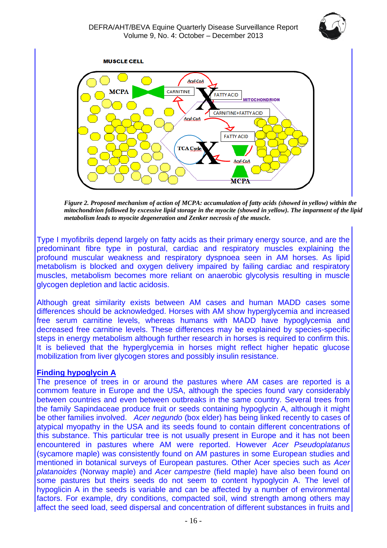



*Figure 2. Proposed mechanism of action of MCPA: accumulation of fatty acids (showed in yellow) within the mitochondrion followed by excessive lipid storage in the myocite (showed in yellow). The imparment of the lipid metabolism leads to myocite degeneration and Zenker necrosis of the muscle.*

Type I myofibrils depend largely on fatty acids as their primary energy source, and are the predominant fibre type in postural, cardiac and respiratory muscles explaining the profound muscular weakness and respiratory dyspnoea seen in AM horses. As lipid metabolism is blocked and oxygen delivery impaired by failing cardiac and respiratory muscles, metabolism becomes more reliant on anaerobic glycolysis resulting in muscle glycogen depletion and lactic acidosis.

Although great similarity exists between AM cases and human MADD cases some differences should be acknowledged. Horses with AM show hyperglycemia and increased free serum carnitine levels, whereas humans with MADD have hypoglycemia and decreased free carnitine levels. These differences may be explained by species-specific steps in energy metabolism although further research in horses is required to confirm this. It is believed that the hyperglycemia in horses might reflect higher hepatic glucose mobilization from liver glycogen stores and possibly insulin resistance.

### **Finding hypoglycin A**

The presence of trees in or around the pastures where AM cases are reported is a commom feature in Europe and the USA, although the species found vary considerably between countries and even between outbreaks in the same country. Several trees from the family Sapindaceae produce fruit or seeds containing hypoglycin A, although it might be other families involved. *Acer negundo* (box elder) has being linked recently to cases of atypical myopathy in the USA and its seeds found to contain different concentrations of this substance. This particular tree is not usually present in Europe and it has not been encountered in pastures where AM were reported. However *Acer Pseudoplatanus* (sycamore maple) was consistently found on AM pastures in some European studies and mentioned in botanical surveys of European pastures. Other Acer species such as *Acer platanoides* (Norway maple) and *Acer campestre* (field maple) have also been found on some pastures but theirs seeds do not seem to content hypoglycin A. The level of hypoglicin A in the seeds is variable and can be affected by a number of environmental factors. For example, dry conditions, compacted soil, wind strength among others may affect the seed load, seed dispersal and concentration of different substances in fruits and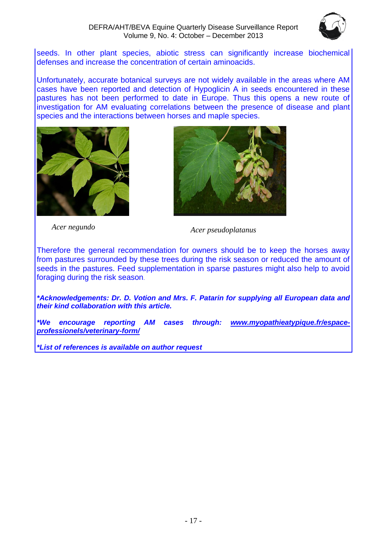

seeds. In other plant species, abiotic stress can significantly increase biochemical defenses and increase the concentration of certain aminoacids.

Unfortunately, accurate botanical surveys are not widely available in the areas where AM cases have been reported and detection of Hypoglicin A in seeds encountered in these pastures has not been performed to date in Europe. Thus this opens a new route of investigation for AM evaluating correlations between the presence of disease and plant species and the interactions between horses and maple species.





*Acer negundo Acer pseudoplatanus*

Therefore the general recommendation for owners should be to keep the horses away from pastures surrounded by these trees during the risk season or reduced the amount of seeds in the pastures. Feed supplementation in sparse pastures might also help to avoid foraging during the risk season.

*\*Acknowledgements: Dr. D. Votion and Mrs. F. Patarin for supplying all European data and their kind collaboration with this article.*

*\*We encourage reporting AM cases through: [www.myopathieatypique.fr/espace](http://www.myopathieatypique.fr/espace-professionels/veterinary-form/)[professionels/veterinary-form/](http://www.myopathieatypique.fr/espace-professionels/veterinary-form/)*

*\*List of references is available on author request*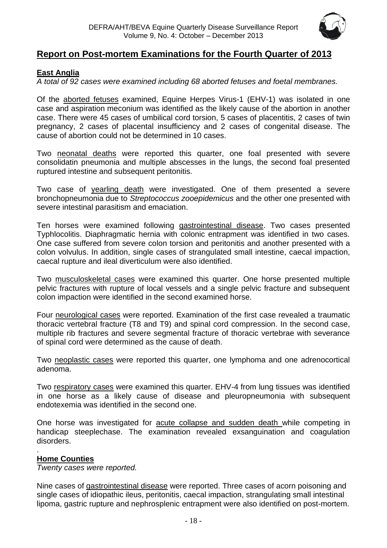

### **Report on Post-mortem Examinations for the Fourth Quarter of 2013**

### <span id="page-17-0"></span>**East Anglia**

*A total of 92 cases were examined including 68 aborted fetuses and foetal membranes.*

Of the aborted fetuses examined, Equine Herpes Virus-1 (EHV-1) was isolated in one case and aspiration meconium was identified as the likely cause of the abortion in another case. There were 45 cases of umbilical cord torsion, 5 cases of placentitis, 2 cases of twin pregnancy, 2 cases of placental insufficiency and 2 cases of congenital disease. The cause of abortion could not be determined in 10 cases.

Two neonatal deaths were reported this quarter, one foal presented with severe consolidatin pneumonia and multiple abscesses in the lungs, the second foal presented ruptured intestine and subsequent peritonitis.

Two case of yearling death were investigated. One of them presented a severe bronchopneumonia due to *Streptococcus zooepidemicus* and the other one presented with severe intestinal parasitism and emaciation.

Ten horses were examined following gastrointestinal disease. Two cases presented Typhlocolitis. Diaphragmatic hernia with colonic entrapment was identified in two cases. One case suffered from severe colon torsion and peritonitis and another presented with a colon volvulus. In addition, single cases of strangulated small intestine, caecal impaction, caecal rupture and ileal diverticulum were also identified.

Two musculoskeletal cases were examined this quarter. One horse presented multiple pelvic fractures with rupture of local vessels and a single pelvic fracture and subsequent colon impaction were identified in the second examined horse.

Four neurological cases were reported. Examination of the first case revealed a traumatic thoracic vertebral fracture (T8 and T9) and spinal cord compression. In the second case, multiple rib fractures and severe segmental fracture of thoracic vertebrae with severance of spinal cord were determined as the cause of death.

Two neoplastic cases were reported this quarter, one lymphoma and one adrenocortical adenoma.

Two respiratory cases were examined this quarter. EHV-4 from lung tissues was identified in one horse as a likely cause of disease and pleuropneumonia with subsequent endotexemia was identified in the second one.

One horse was investigated for acute collapse and sudden death while competing in handicap steeplechase. The examination revealed exsanguination and coagulation disorders.

#### <span id="page-17-1"></span>. **Home Counties**

*Twenty cases were reported.*

Nine cases of gastrointestinal disease were reported. Three cases of acorn poisoning and single cases of idiopathic ileus, peritonitis, caecal impaction, strangulating small intestinal lipoma, gastric rupture and nephrosplenic entrapment were also identified on post-mortem.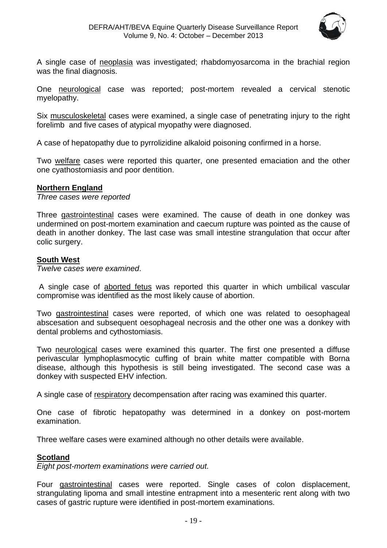

A single case of neoplasia was investigated; rhabdomyosarcoma in the brachial region was the final diagnosis.

One neurological case was reported; post-mortem revealed a cervical stenotic myelopathy.

Six musculoskeletal cases were examined, a single case of penetrating injury to the right forelimb and five cases of atypical myopathy were diagnosed.

A case of hepatopathy due to pyrrolizidine alkaloid poisoning confirmed in a horse.

Two welfare cases were reported this quarter, one presented emaciation and the other one cyathostomiasis and poor dentition.

#### **Northern England**

*Three cases were reported*

Three gastrointestinal cases were examined. The cause of death in one donkey was undermined on post-mortem examination and caecum rupture was pointed as the cause of death in another donkey. The last case was small intestine strangulation that occur after colic surgery.

### <span id="page-18-0"></span>**South West**

*Twelve cases were examined*.

A single case of aborted fetus was reported this quarter in which umbilical vascular compromise was identified as the most likely cause of abortion.

Two gastrointestinal cases were reported, of which one was related to oesophageal abscesation and subsequent oesophageal necrosis and the other one was a donkey with dental problems and cythostomiasis.

Two neurological cases were examined this quarter. The first one presented a diffuse perivascular lymphoplasmocytic cuffing of brain white matter compatible with Borna disease, although this hypothesis is still being investigated. The second case was a donkey with suspected EHV infection.

A single case of respiratory decompensation after racing was examined this quarter.

One case of fibrotic hepatopathy was determined in a donkey on post-mortem examination.

Three welfare cases were examined although no other details were available.

#### <span id="page-18-1"></span>**Scotland**

*Eight post-mortem examinations were carried out.*

Four gastrointestinal cases were reported. Single cases of colon displacement, strangulating lipoma and small intestine entrapment into a mesenteric rent along with two cases of gastric rupture were identified in post-mortem examinations.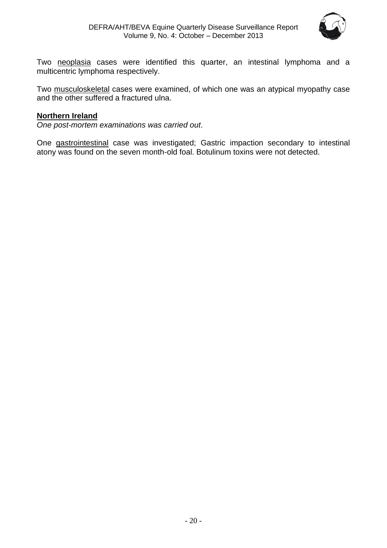

Two neoplasia cases were identified this quarter, an intestinal lymphoma and a multicentric lymphoma respectively.

Two musculoskeletal cases were examined, of which one was an atypical myopathy case and the other suffered a fractured ulna.

### <span id="page-19-0"></span>**Northern Ireland**

*One post-mortem examinations was carried out*.

One gastrointestinal case was investigated; Gastric impaction secondary to intestinal atony was found on the seven month-old foal. Botulinum toxins were not detected.